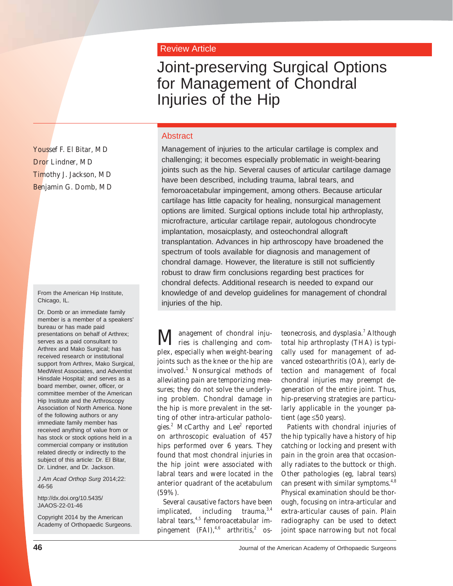# Review Article

Joint-preserving Surgical Options for Management of Chondral Injuries of the Hip

Youssef F. El Bitar, MD Dror Lindner, MD Timothy J. Jackson, MD Benjamin G. Domb, MD

From the American Hip Institute, Chicago, IL.

Dr. Domb or an immediate family member is a member of a speakers' bureau or has made paid presentations on behalf of Arthrex; serves as a paid consultant to Arthrex and Mako Surgical; has received research or institutional support from Arthrex, Mako Surgical, MedWest Associates, and Adventist Hinsdale Hospital; and serves as a board member, owner, officer, or committee member of the American Hip Institute and the Arthroscopy Association of North America. None of the following authors or any immediate family member has received anything of value from or has stock or stock options held in a commercial company or institution related directly or indirectly to the subject of this article: Dr. El Bitar, Dr. Lindner, and Dr. Jackson.

*J Am Acad Orthop Surg* 2014;22: 46-56

http://dx.doi.org/10.5435/ JAAOS-22-01-46

Copyright 2014 by the American Academy of Orthopaedic Surgeons.

#### **Abstract**

Management of injuries to the articular cartilage is complex and challenging; it becomes especially problematic in weight-bearing joints such as the hip. Several causes of articular cartilage damage have been described, including trauma, labral tears, and femoroacetabular impingement, among others. Because articular cartilage has little capacity for healing, nonsurgical management options are limited. Surgical options include total hip arthroplasty, microfracture, articular cartilage repair, autologous chondrocyte implantation, mosaicplasty, and osteochondral allograft transplantation. Advances in hip arthroscopy have broadened the spectrum of tools available for diagnosis and management of chondral damage. However, the literature is still not sufficiently robust to draw firm conclusions regarding best practices for chondral defects. Additional research is needed to expand our knowledge of and develop guidelines for management of chondral injuries of the hip.

anagement of chondral injuries is challenging and complex, especially when weight-bearing joints such as the knee or the hip are involved.1 Nonsurgical methods of alleviating pain are temporizing measures; they do not solve the underlying problem. Chondral damage in the hip is more prevalent in the setting of other intra-articular pathologies.<sup>2</sup> McCarthy and Lee<sup>2</sup> reported on arthroscopic evaluation of 457 hips performed over 6 years. They found that most chondral injuries in the hip joint were associated with labral tears and were located in the anterior quadrant of the acetabulum (59%).

Several causative factors have been implicated, including trauma. $3,4$ labral tears,<sup>4,5</sup> femoroacetabular impingement  $(FAI)$ ,<sup>4,6</sup> arthritis,<sup>2</sup> osteonecrosis, and dysplasia.<sup>7</sup> Although total hip arthroplasty (THA) is typically used for management of advanced osteoarthritis (OA), early detection and management of focal chondral injuries may preempt degeneration of the entire joint. Thus, hip-preserving strategies are particularly applicable in the younger patient (age ≤50 years).

Patients with chondral injuries of the hip typically have a history of hip catching or locking and present with pain in the groin area that occasionally radiates to the buttock or thigh. Other pathologies (eg, labral tears) can present with similar symptoms. $4,8$ Physical examination should be thorough, focusing on intra-articular and extra-articular causes of pain. Plain radiography can be used to detect joint space narrowing but not focal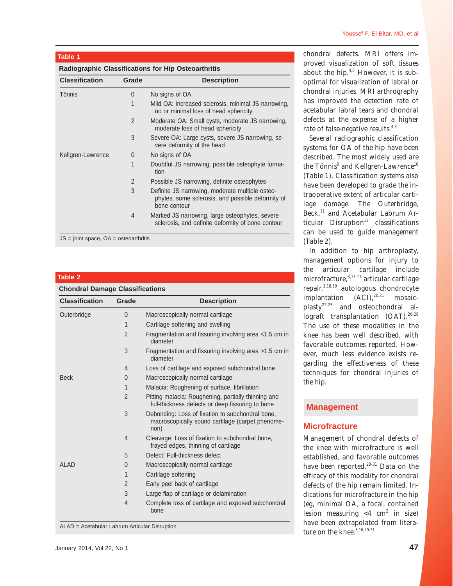| Table 1                                                                                                                                                        |                |                                                                                                                      |  |  |  |  |
|----------------------------------------------------------------------------------------------------------------------------------------------------------------|----------------|----------------------------------------------------------------------------------------------------------------------|--|--|--|--|
| <b>Radiographic Classifications for Hip Osteoarthritis</b>                                                                                                     |                |                                                                                                                      |  |  |  |  |
| <b>Classification</b>                                                                                                                                          | Grade          | <b>Description</b>                                                                                                   |  |  |  |  |
| Tönnis                                                                                                                                                         | 0              | No signs of OA                                                                                                       |  |  |  |  |
|                                                                                                                                                                | 1              | Mild OA: Increased sclerosis, minimal JS narrowing,<br>no or minimal loss of head sphericity                         |  |  |  |  |
|                                                                                                                                                                | $\mathfrak{p}$ | Moderate OA: Small cysts, moderate JS narrowing,<br>moderate loss of head sphericity                                 |  |  |  |  |
|                                                                                                                                                                | 3              | Severe OA: Large cysts, severe JS narrowing, se-<br>vere deformity of the head                                       |  |  |  |  |
| Kellgren-Lawrence                                                                                                                                              | $\Omega$       | No signs of OA                                                                                                       |  |  |  |  |
|                                                                                                                                                                | 1              | Doubtful JS narrowing, possible osteophyte forma-<br>tion                                                            |  |  |  |  |
|                                                                                                                                                                | 2              | Possible JS narrowing, definite osteophytes                                                                          |  |  |  |  |
|                                                                                                                                                                | 3              | Definite JS narrowing, moderate multiple osteo-<br>phytes, some sclerosis, and possible deformity of<br>bone contour |  |  |  |  |
|                                                                                                                                                                | 4              | Marked JS narrowing, large osteophytes, severe<br>sclerosis, and definite deformity of bone contour                  |  |  |  |  |
| $\mathcal{L} = \mathcal{L} \times \mathcal{L}$ and $\mathcal{L} = \mathcal{L} \times \mathcal{L}$ and $\mathcal{L} = \mathcal{L} \times \mathcal{L}$<br>$\sim$ |                |                                                                                                                      |  |  |  |  |

 $JS = joint space$ ,  $OA = osteoarthritis$ 

#### **Table 2**

| <b>Classification</b><br>Grade<br><b>Description</b> |                |                                                                                                              |  |  |  |  |
|------------------------------------------------------|----------------|--------------------------------------------------------------------------------------------------------------|--|--|--|--|
|                                                      |                |                                                                                                              |  |  |  |  |
| Outerbridge                                          | $\Omega$       | Macroscopically normal cartilage                                                                             |  |  |  |  |
|                                                      | 1              | Cartilage softening and swelling                                                                             |  |  |  |  |
|                                                      | $\overline{2}$ | Fragmentation and fissuring involving area <1.5 cm in<br>diameter                                            |  |  |  |  |
|                                                      | 3              | Fragmentation and fissuring involving area >1.5 cm in<br>diameter                                            |  |  |  |  |
|                                                      | $\overline{4}$ | Loss of cartilage and exposed subchondral bone                                                               |  |  |  |  |
| <b>Beck</b>                                          | $\overline{0}$ | Macroscopically normal cartilage                                                                             |  |  |  |  |
|                                                      | 1              | Malacia: Roughening of surface, fibrillation                                                                 |  |  |  |  |
|                                                      | $\overline{2}$ | Pitting malacia: Roughening, partially thinning and<br>full-thickness defects or deep fissuring to bone      |  |  |  |  |
|                                                      | 3              | Debonding: Loss of fixation to subchondral bone,<br>macroscopically sound cartilage (carpet phenome-<br>non) |  |  |  |  |
|                                                      | $\overline{4}$ | Cleavage: Loss of fixation to subchondral bone,<br>frayed edges, thinning of cartilage                       |  |  |  |  |
|                                                      | 5              | Defect: Full-thickness defect                                                                                |  |  |  |  |
| AI AD                                                | $\overline{0}$ | Macroscopically normal cartilage                                                                             |  |  |  |  |
|                                                      | 1              | Cartilage softening                                                                                          |  |  |  |  |
|                                                      | $\overline{2}$ | Early peel back of cartilage                                                                                 |  |  |  |  |
|                                                      | 3              | Large flap of cartilage or delamination                                                                      |  |  |  |  |
|                                                      | $\overline{4}$ | Complete loss of cartilage and exposed subchondral<br>bone                                                   |  |  |  |  |

chondral defects. MRI offers improved visualization of soft tissues about the hip. $4,8$  However, it is suboptimal for visualization of labral or chondral injuries. MRI arthrography has improved the detection rate of acetabular labral tears and chondral defects at the expense of a higher rate of false-negative results.<sup>4,8</sup>

Several radiographic classification systems for OA of the hip have been described. The most widely used are the Tönnis<sup>9</sup> and Kellgren-Lawrence<sup>10</sup> (Table 1). Classification systems also have been developed to grade the intraoperative extent of articular cartilage damage. The Outerbridge,  $Beck<sup>11</sup>$  and Acetabular Labrum Articular  $Disruption^{12}$  classifications can be used to guide management (Table 2).

In addition to hip arthroplasty, management options for injury to the articular cartilage include microfracture,<sup>3,13-17</sup> articular cartilage repair, $1,18,19$  autologous chondrocyte implantation  $(ACI)$ ,  $^{20,21}$  mosaicplasty22-25 and osteochondral allograft transplantation (OAT).<sup>26-28</sup> The use of these modalities in the knee has been well described, with favorable outcomes reported. However, much less evidence exists regarding the effectiveness of these techniques for chondral injuries of the hip.

# **Management**

# **Microfracture**

Management of chondral defects of the knee with microfracture is well established, and favorable outcomes have been reported. $29-31$  Data on the efficacy of this modality for chondral defects of the hip remain limited. Indications for microfracture in the hip (eg, minimal OA, a focal, contained lesion measuring  $\langle 4 \text{ cm}^2 \text{ in size} \rangle$ have been extrapolated from literature on the knee.<sup>3,16,29-31</sup>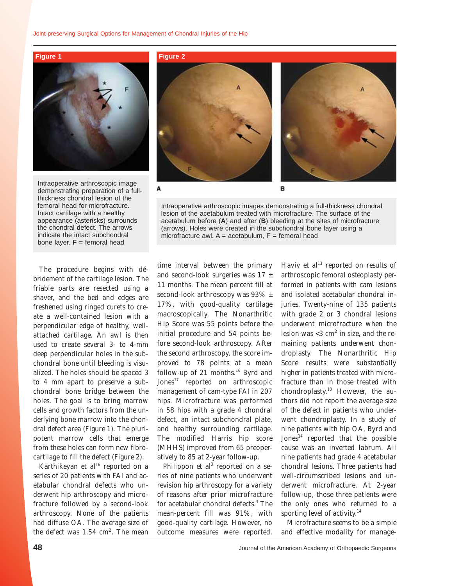А





The procedure begins with débridement of the cartilage lesion. The friable parts are resected using a shaver, and the bed and edges are freshened using ringed curets to create a well-contained lesion with a perpendicular edge of healthy, wellattached cartilage. An awl is then used to create several 3- to 4-mm deep perpendicular holes in the subchondral bone until bleeding is visualized. The holes should be spaced 3 to 4 mm apart to preserve a subchondral bone bridge between the holes. The goal is to bring marrow cells and growth factors from the underlying bone marrow into the chondral defect area (Figure 1). The pluripotent marrow cells that emerge from these holes can form new fibrocartilage to fill the defect (Figure 2).

Karthikeyan et al $16$  reported on a series of 20 patients with FAI and acetabular chondral defects who underwent hip arthroscopy and microfracture followed by a second-look arthroscopy. None of the patients had diffuse OA. The average size of the defect was 1.54 cm<sup>2</sup>. The mean

# time interval between the primary and second-look surgeries was 17  $\pm$ 11 months. The mean percent fill at second-look arthroscopy was 93% ± 17%, with good-quality cartilage macroscopically. The Nonarthritic Hip Score was 55 points before the initial procedure and 54 points before second-look arthroscopy. After the second arthroscopy, the score improved to 78 points at a mean follow-up of 21 months. $16$  Byrd and Jones<sup>17</sup> reported on arthroscopic management of cam-type FAI in 207 hips. Microfracture was performed in 58 hips with a grade 4 chondral defect, an intact subchondral plate, and healthy surrounding cartilage. The modified Harris hip score

atively to 85 at 2-year follow-up. Philippon et  $al^3$  reported on a series of nine patients who underwent revision hip arthroscopy for a variety of reasons after prior microfracture for acetabular chondral defects.<sup>3</sup> The mean-percent fill was 91%, with good-quality cartilage. However, no outcome measures were reported.

(MHHS) improved from 65 preoper-

Haviv et  $al<sup>13</sup>$  reported on results of arthroscopic femoral osteoplasty performed in patients with cam lesions and isolated acetabular chondral injuries. Twenty-nine of 135 patients with grade 2 or 3 chondral lesions underwent microfracture when the lesion was  $<$ 3 cm<sup>2</sup> in size, and the remaining patients underwent chondroplasty. The Nonarthritic Hip Score results were substantially higher in patients treated with microfracture than in those treated with chondroplasty.13 However, the authors did not report the average size of the defect in patients who underwent chondroplasty. In a study of nine patients with hip OA, Byrd and Jones $14$  reported that the possible cause was an inverted labrum. All nine patients had grade 4 acetabular chondral lesions. Three patients had well-circumscribed lesions and underwent microfracture. At 2-year follow-up, those three patients were the only ones who returned to a sporting level of activity.<sup>14</sup>

Microfracture seems to be a simple and effective modality for manage-



Intraoperative arthroscopic images demonstrating a full-thickness chondral lesion of the acetabulum treated with microfracture. The surface of the acetabulum before (**A**) and after (**B**) bleeding at the sites of microfracture (arrows). Holes were created in the subchondral bone layer using a microfracture awl.  $A =$  acetabulum,  $F =$  femoral head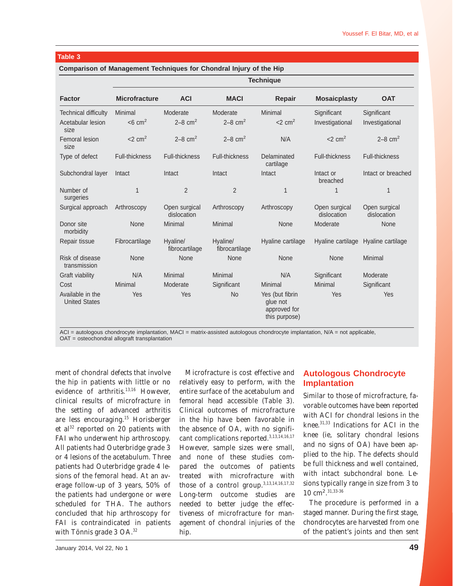| <b>Factor</b>                            | <b>Technique</b>      |                              |                            |                                                              |                              |                                     |  |  |
|------------------------------------------|-----------------------|------------------------------|----------------------------|--------------------------------------------------------------|------------------------------|-------------------------------------|--|--|
|                                          | <b>Microfracture</b>  | <b>ACI</b>                   | <b>MACI</b>                | Repair                                                       | <b>Mosaicplasty</b>          | <b>OAT</b>                          |  |  |
| <b>Technical difficulty</b>              | Minimal               | Moderate                     | Moderate                   | <b>Minimal</b>                                               | Significant                  | Significant                         |  |  |
| Acetabular lesion<br>size                | $<$ 6 cm <sup>2</sup> | $2 - 8$ cm <sup>2</sup>      | $2 - 8$ cm <sup>2</sup>    | $<$ 2 cm <sup>2</sup>                                        | Investigational              | Investigational                     |  |  |
| Femoral lesion<br>size                   | $<$ 2 cm <sup>2</sup> | $2 - 8$ cm <sup>2</sup>      | $2 - 8$ cm <sup>2</sup>    | N/A                                                          | $<$ 2 cm <sup>2</sup>        | $2 - 8$ cm <sup>2</sup>             |  |  |
| Type of defect                           | <b>Full-thickness</b> | <b>Full-thickness</b>        | <b>Full-thickness</b>      | Delaminated<br>cartilage                                     | <b>Full-thickness</b>        | <b>Full-thickness</b>               |  |  |
| Subchondral layer                        | Intact                | Intact                       | Intact                     | Intact                                                       | Intact or<br>breached        | Intact or breached                  |  |  |
| Number of<br>surgeries                   | 1                     | $\overline{2}$               | $\overline{2}$             | 1                                                            | 1                            | 1                                   |  |  |
| Surgical approach                        | Arthroscopy           | Open surgical<br>dislocation | Arthroscopy                | Arthroscopy                                                  | Open surgical<br>dislocation | Open surgical<br>dislocation        |  |  |
| Donor site<br>morbidity                  | None                  | <b>Minimal</b>               | Minimal                    | <b>None</b>                                                  | Moderate                     | None                                |  |  |
| Repair tissue                            | Fibrocartilage        | Hyaline/<br>fibrocartilage   | Hyaline/<br>fibrocartilage | Hyaline cartilage                                            |                              | Hyaline cartilage Hyaline cartilage |  |  |
| Risk of disease<br>transmission          | None                  | None                         | None                       | None                                                         | <b>None</b>                  | Minimal                             |  |  |
| Graft viability                          | N/A                   | Minimal                      | Minimal                    | N/A                                                          | Significant                  | Moderate                            |  |  |
| Cost                                     | Minimal               | Moderate                     | Significant                | Minimal                                                      | Minimal                      | Significant                         |  |  |
| Available in the<br><b>United States</b> | Yes                   | Yes                          | <b>No</b>                  | Yes (but fibrin<br>glue not<br>approved for<br>this purpose) | Yes                          | Yes                                 |  |  |

ACI = autologous chondrocyte implantation, MACI = matrix-assisted autologous chondrocyte implantation, N/A = not applicable, OAT = osteochondral allograft transplantation

ment of chondral defects that involve the hip in patients with little or no evidence of arthritis.<sup>13,16</sup> However, clinical results of microfracture in the setting of advanced arthritis are less encouraging.15 Horisberger et al $^{32}$  reported on 20 patients with FAI who underwent hip arthroscopy. All patients had Outerbridge grade 3 or 4 lesions of the acetabulum. Three patients had Outerbridge grade 4 lesions of the femoral head. At an average follow-up of 3 years, 50% of the patients had undergone or were scheduled for THA. The authors concluded that hip arthroscopy for FAI is contraindicated in patients with Tönnis grade 3 OA.<sup>32</sup>

Microfracture is cost effective and relatively easy to perform, with the entire surface of the acetabulum and femoral head accessible (Table 3). Clinical outcomes of microfracture in the hip have been favorable in the absence of OA, with no significant complications reported.<sup>3,13,14,16,17</sup> However, sample sizes were small, and none of these studies compared the outcomes of patients treated with microfracture with those of a control group.<sup>3,13,14,16,17,32</sup> Long-term outcome studies are needed to better judge the effectiveness of microfracture for management of chondral injuries of the hip.

# **Autologous Chondrocyte Implantation**

Similar to those of microfracture, favorable outcomes have been reported with ACI for chondral lesions in the knee.<sup>31,33</sup> Indications for ACI in the knee (ie, solitary chondral lesions and no signs of OA) have been applied to the hip. The defects should be full thickness and well contained, with intact subchondral bone. Lesions typically range in size from 3 to 10 cm2 . 31,33-36

The procedure is performed in a staged manner. During the first stage, chondrocytes are harvested from one of the patient's joints and then sent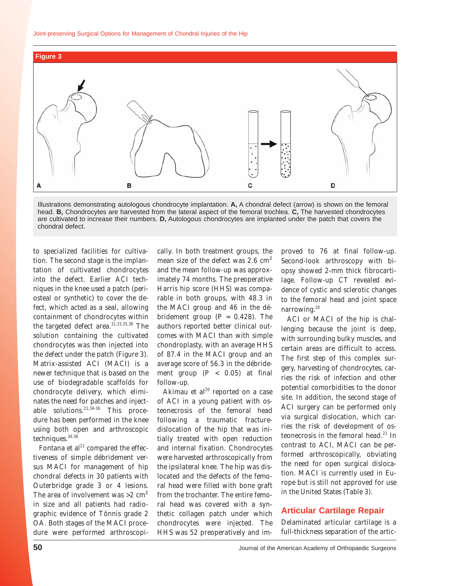

Illustrations demonstrating autologous chondrocyte implantation. **A,** A chondral defect (arrow) is shown on the femoral head. **B,** Chondrocytes are harvested from the lateral aspect of the femoral trochlea. **C,** The harvested chondrocytes are cultivated to increase their numbers. **D,** Autologous chondrocytes are implanted under the patch that covers the chondral defect.

to specialized facilities for cultivation. The second stage is the implantation of cultivated chondrocytes into the defect. Earlier ACI techniques in the knee used a patch (periosteal or synthetic) to cover the defect, which acted as a seal, allowing containment of chondrocytes within the targeted defect area.<sup>31,33,35,36</sup> The solution containing the cultivated chondrocytes was then injected into the defect under the patch (Figure 3). Matrix-assisted ACI (MACI) is a newer technique that is based on the use of biodegradable scaffolds for chondrocyte delivery, which eliminates the need for patches and injectable solutions.  $21,34-36$  This procedure has been performed in the knee using both open and arthroscopic techniques.<sup>34-36</sup>

Fontana et  $al^{21}$  compared the effectiveness of simple débridement versus MACI for management of hip chondral defects in 30 patients with Outerbridge grade 3 or 4 lesions. The area of involvement was  $>2$  cm<sup>2</sup> in size and all patients had radiographic evidence of Tönnis grade 2 OA. Both stages of the MACI procedure were performed arthroscopically. In both treatment groups, the mean size of the defect was 2.6 cm<sup>2</sup> and the mean follow-up was approximately 74 months. The preoperative Harris hip score (HHS) was comparable in both groups, with 48.3 in the MACI group and 46 in the débridement group  $(P = 0.428)$ . The authors reported better clinical outcomes with MACI than with simple chondroplasty, with an average HHS of 87.4 in the MACI group and an average score of 56.3 in the débridement group  $(P < 0.05)$  at final follow-up.

Akimau et  $al^{20}$  reported on a case of ACI in a young patient with osteonecrosis of the femoral head following a traumatic fracturedislocation of the hip that was initially treated with open reduction and internal fixation. Chondrocytes were harvested arthroscopically from the ipsilateral knee. The hip was dislocated and the defects of the femoral head were filled with bone graft from the trochanter. The entire femoral head was covered with a synthetic collagen patch under which chondrocytes were injected. The HHS was 52 preoperatively and improved to 76 at final follow-up. Second-look arthroscopy with biopsy showed 2-mm thick fibrocartilage. Follow-up CT revealed evidence of cystic and sclerotic changes to the femoral head and joint space narrowing.<sup>20</sup>

ACI or MACI of the hip is challenging because the joint is deep, with surrounding bulky muscles, and certain areas are difficult to access. The first step of this complex surgery, harvesting of chondrocytes, carries the risk of infection and other potential comorbidities to the donor site. In addition, the second stage of ACI surgery can be performed only via surgical dislocation, which carries the risk of development of osteonecrosis in the femoral head. $21$  In contrast to ACI, MACI can be performed arthroscopically, obviating the need for open surgical dislocation. MACI is currently used in Europe but is still not approved for use in the United States (Table 3).

## **Articular Cartilage Repair**

Delaminated articular cartilage is a full-thickness separation of the artic-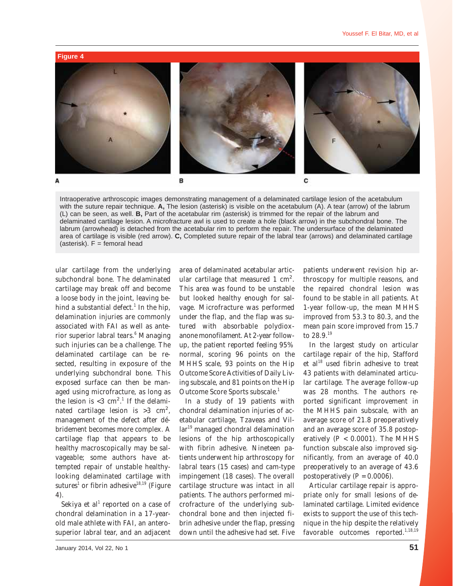

Intraoperative arthroscopic images demonstrating management of a delaminated cartilage lesion of the acetabulum with the suture repair technique. **A,** The lesion (asterisk) is visible on the acetabulum (A). A tear (arrow) of the labrum (L) can be seen, as well. **B,** Part of the acetabular rim (asterisk) is trimmed for the repair of the labrum and delaminated cartilage lesion. A microfracture awl is used to create a hole (black arrow) in the subchondral bone. The labrum (arrowhead) is detached from the acetabular rim to perform the repair. The undersurface of the delaminated area of cartilage is visible (red arrow). **C,** Completed suture repair of the labral tear (arrows) and delaminated cartilage (asterisk).  $F =$  femoral head

ular cartilage from the underlying subchondral bone. The delaminated cartilage may break off and become a loose body in the joint, leaving behind a substantial defect.<sup>1</sup> In the hip, delamination injuries are commonly associated with FAI as well as anterior superior labral tears.<sup>6</sup> Managing such injuries can be a challenge. The delaminated cartilage can be resected, resulting in exposure of the underlying subchondral bone. This exposed surface can then be managed using microfracture, as long as the lesion is  $<$ 3 cm<sup>2</sup>.<sup>1</sup> If the delaminated cartilage lesion is  $>3$  cm<sup>2</sup>, management of the defect after débridement becomes more complex. A cartilage flap that appears to be healthy macroscopically may be salvageable; some authors have attempted repair of unstable healthylooking delaminated cartilage with sutures<sup>1</sup> or fibrin adhesive<sup>18,19</sup> (Figure 4).

Sekiya et al<sup>1</sup> reported on a case of chondral delamination in a 17-yearold male athlete with FAI, an anterosuperior labral tear, and an adjacent

area of delaminated acetabular articular cartilage that measured  $1 \text{ cm}^2$ . This area was found to be unstable but looked healthy enough for salvage. Microfracture was performed under the flap, and the flap was sutured with absorbable polydioxanone monofilament. At 2-year followup, the patient reported feeling 95% normal, scoring 96 points on the MHHS scale, 93 points on the Hip Outcome Score Activities of Daily Living subscale, and 81 points on the Hip Outcome Score Sports subscale.<sup>1</sup>

In a study of 19 patients with chondral delamination injuries of acetabular cartilage, Tzaveas and Villar<sup>19</sup> managed chondral delamination lesions of the hip arthoscopically with fibrin adhesive. Nineteen patients underwent hip arthroscopy for labral tears (15 cases) and cam-type impingement (18 cases). The overall cartilage structure was intact in all patients. The authors performed microfracture of the underlying subchondral bone and then injected fibrin adhesive under the flap, pressing down until the adhesive had set. Five patients underwent revision hip arthroscopy for multiple reasons, and the repaired chondral lesion was found to be stable in all patients. At 1-year follow-up, the mean MHHS improved from 53.3 to 80.3, and the mean pain score improved from 15.7 to  $28.9.^{19}$ 

In the largest study on articular cartilage repair of the hip, Stafford et al<sup>18</sup> used fibrin adhesive to treat 43 patients with delaminated articular cartilage. The average follow-up was 28 months. The authors reported significant improvement in the MHHS pain subscale, with an average score of 21.8 preoperatively and an average score of 35.8 postoperatively  $(P < 0.0001)$ . The MHHS function subscale also improved significantly, from an average of 40.0 preoperatively to an average of 43.6 postoperatively  $(P = 0.0006)$ .

Articular cartilage repair is appropriate only for small lesions of delaminated cartilage. Limited evidence exists to support the use of this technique in the hip despite the relatively favorable outcomes reported. $1,18,19$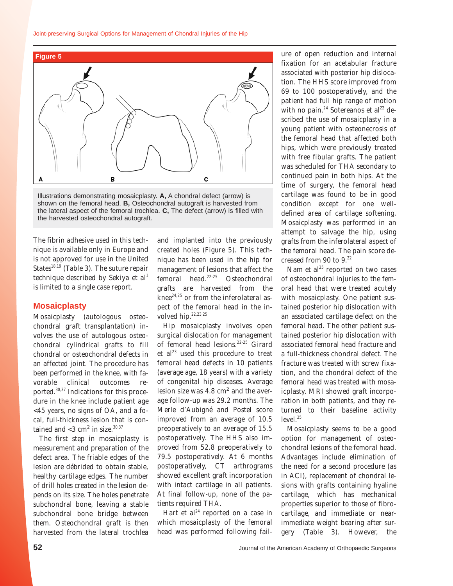

Illustrations demonstrating mosaicplasty. **A,** A chondral defect (arrow) is shown on the femoral head. **B,** Osteochondral autograft is harvested from the lateral aspect of the femoral trochlea. **C,** The defect (arrow) is filled with the harvested osteochondral autograft.

The fibrin adhesive used in this technique is available only in Europe and is not approved for use in the United States<sup>18,19</sup> (Table 3). The suture repair technique described by Sekiya et  $al<sup>1</sup>$ is limited to a single case report.

#### **Mosaicplasty**

Mosaicplasty (autologous osteochondral graft transplantation) involves the use of autologous osteochondral cylindrical grafts to fill chondral or osteochondral defects in an affected joint. The procedure has been performed in the knee, with favorable clinical outcomes reported.30,37 Indications for this procedure in the knee include patient age <45 years, no signs of OA, and a focal, full-thickness lesion that is contained and  $<$ 3 cm<sup>2</sup> in size.<sup>30,37</sup>

The first step in mosaicplasty is measurement and preparation of the defect area. The friable edges of the lesion are débrided to obtain stable, healthy cartilage edges. The number of drill holes created in the lesion depends on its size. The holes penetrate subchondral bone, leaving a stable subchondral bone bridge between them. Osteochondral graft is then harvested from the lateral trochlea

and implanted into the previously created holes (Figure 5). This technique has been used in the hip for management of lesions that affect the femoral head.22-25 Osteochondral grafts are harvested from the  $knee^{24,25}$  or from the inferolateral aspect of the femoral head in the involved hip. $22,23,25$ 

Hip mosaicplasty involves open surgical dislocation for management of femoral head lesions.22-25 Girard et  $al^{23}$  used this procedure to treat femoral head defects in 10 patients (average age, 18 years) with a variety of congenital hip diseases. Average lesion size was  $4.8 \text{ cm}^2$  and the average follow-up was 29.2 months. The Merle d'Aubigné and Postel score improved from an average of 10.5 preoperatively to an average of 15.5 postoperatively. The HHS also improved from 52.8 preoperatively to 79.5 postoperatively. At 6 months postoperatively, CT arthrograms showed excellent graft incorporation with intact cartilage in all patients. At final follow-up, none of the patients required THA.

Hart et al $^{24}$  reported on a case in which mosaicplasty of the femoral head was performed following failure of open reduction and internal fixation for an acetabular fracture associated with posterior hip dislocation. The HHS score improved from 69 to 100 postoperatively, and the patient had full hip range of motion with no pain.<sup>24</sup> Sotereanos et al<sup>22</sup> described the use of mosaicplasty in a young patient with osteonecrosis of the femoral head that affected both hips, which were previously treated with free fibular grafts. The patient was scheduled for THA secondary to continued pain in both hips. At the time of surgery, the femoral head cartilage was found to be in good condition except for one welldefined area of cartilage softening. Mosaicplasty was performed in an attempt to salvage the hip, using grafts from the inferolateral aspect of the femoral head. The pain score decreased from 90 to  $9.22$ 

Nam et  $al^{25}$  reported on two cases of osteochondral injuries to the femoral head that were treated acutely with mosaicplasty. One patient sustained posterior hip dislocation with an associated cartilage defect on the femoral head. The other patient sustained posterior hip dislocation with associated femoral head fracture and a full-thickness chondral defect. The fracture was treated with screw fixation, and the chondral defect of the femoral head was treated with mosaicplasty. MRI showed graft incorporation in both patients, and they returned to their baseline activity level.<sup>25</sup>

Mosaicplasty seems to be a good option for management of osteochondral lesions of the femoral head. Advantages include elimination of the need for a second procedure (as in ACI), replacement of chondral lesions with grafts containing hyaline cartilage, which has mechanical properties superior to those of fibrocartilage, and immediate or nearimmediate weight bearing after surgery (Table 3). However, the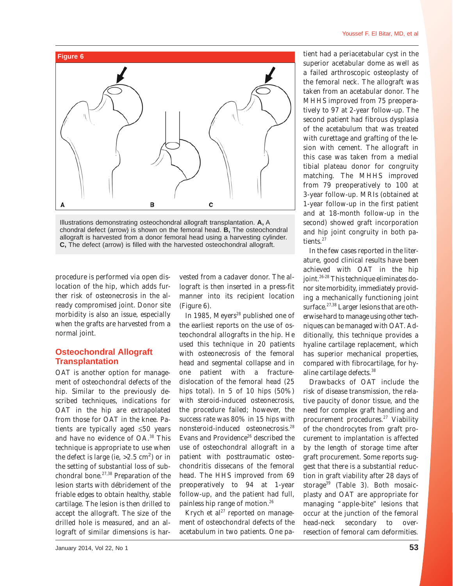

Illustrations demonstrating osteochondral allograft transplantation. **A,** A chondral defect (arrow) is shown on the femoral head. **B,** The osteochondral allograft is harvested from a donor femoral head using a harvesting cylinder. **C,** The defect (arrow) is filled with the harvested osteochondral allograft.

procedure is performed via open dislocation of the hip, which adds further risk of osteonecrosis in the already compromised joint. Donor site morbidity is also an issue, especially when the grafts are harvested from a normal joint.

#### **Osteochondral Allograft Transplantation**

OAT is another option for management of osteochondral defects of the hip. Similar to the previously described techniques, indications for OAT in the hip are extrapolated from those for OAT in the knee. Patients are typically aged ≤50 years and have no evidence of OA.38 This technique is appropriate to use when the defect is large (ie,  $>2.5$  cm<sup>2</sup>) or in the setting of substantial loss of subchondral bone.27,38 Preparation of the lesion starts with débridement of the friable edges to obtain healthy, stable cartilage. The lesion is then drilled to accept the allograft. The size of the drilled hole is measured, and an allograft of similar dimensions is harvested from a cadaver donor. The allograft is then inserted in a press-fit manner into its recipient location (Figure 6).

In 1985, Meyers<sup>28</sup> published one of the earliest reports on the use of osteochondral allografts in the hip. He used this technique in 20 patients with osteonecrosis of the femoral head and segmental collapse and in one patient with a fracturedislocation of the femoral head (25 hips total). In 5 of 10 hips  $(50\%)$ with steroid-induced osteonecrosis, the procedure failed; however, the success rate was 80% in 15 hips with nonsteroid-induced osteonecrosis.28 Evans and Providence<sup>26</sup> described the use of osteochondral allograft in a patient with posttraumatic osteochondritis dissecans of the femoral head. The HHS improved from 69 preoperatively to 94 at 1-year follow-up, and the patient had full, painless hip range of motion.<sup>26</sup>

Krych et al $^{27}$  reported on management of osteochondral defects of the acetabulum in two patients. One pa-

tient had a periacetabular cyst in the superior acetabular dome as well as a failed arthroscopic osteoplasty of the femoral neck. The allograft was taken from an acetabular donor. The MHHS improved from 75 preoperatively to 97 at 2-year follow-up. The second patient had fibrous dysplasia of the acetabulum that was treated with curettage and grafting of the lesion with cement. The allograft in this case was taken from a medial tibial plateau donor for congruity matching. The MHHS improved from 79 preoperatively to 100 at 3-year follow-up. MRIs (obtained at 1-year follow-up in the first patient and at 18-month follow-up in the second) showed graft incorporation and hip joint congruity in both patients.<sup>27</sup>

In the few cases reported in the literature, good clinical results have been achieved with OAT in the hip joint.26-28 This technique eliminates donor site morbidity, immediately providing a mechanically functioning joint surface.<sup>27,38</sup> Larger lesions that are otherwise hard to manage using other techniques can be managed with OAT. Additionally, this technique provides a hyaline cartilage replacement, which has superior mechanical properties, compared with fibrocartilage, for hyaline cartilage defects.<sup>38</sup>

Drawbacks of OAT include the risk of disease transmission, the relative paucity of donor tissue, and the need for complex graft handling and procurement procedures.<sup>27</sup> Viability of the chondrocytes from graft procurement to implantation is affected by the length of storage time after graft procurement. Some reports suggest that there is a substantial reduction in graft viability after 28 days of storage $39$  (Table 3). Both mosaicplasty and OAT are appropriate for managing "apple-bite" lesions that occur at the junction of the femoral head-neck secondary to overresection of femoral cam deformities.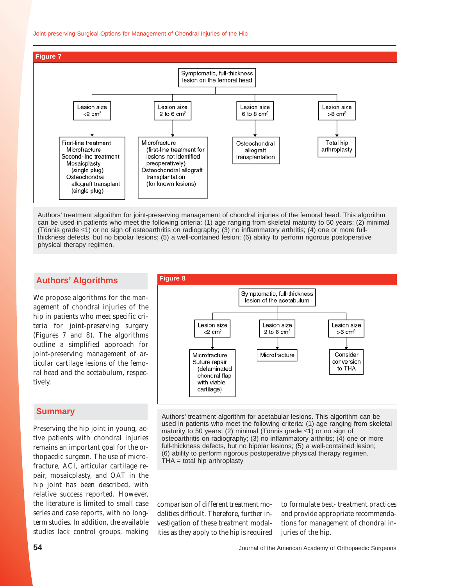#### Joint-preserving Surgical Options for Management of Chondral Injuries of the Hip



Authors' treatment algorithm for joint-preserving management of chondral injuries of the femoral head. This algorithm can be used in patients who meet the following criteria: (1) age ranging from skeletal maturity to 50 years; (2) minimal (Tönnis grade ≤1) or no sign of osteoarthritis on radiography; (3) no inflammatory arthritis; (4) one or more fullthickness defects, but no bipolar lesions; (5) a well-contained lesion; (6) ability to perform rigorous postoperative physical therapy regimen.

## **Authors' Algorithms**

We propose algorithms for the management of chondral injuries of the hip in patients who meet specific criteria for joint-preserving surgery (Figures 7 and 8). The algorithms outline a simplified approach for joint-preserving management of articular cartilage lesions of the femoral head and the acetabulum, respectively.

#### **Summary**

Preserving the hip joint in young, active patients with chondral injuries remains an important goal for the orthopaedic surgeon. The use of microfracture, ACI, articular cartilage repair, mosaicplasty, and OAT in the hip joint has been described, with relative success reported. However, the literature is limited to small case series and case reports, with no longterm studies. In addition, the available studies lack control groups, making



Authors' treatment algorithm for acetabular lesions. This algorithm can be used in patients who meet the following criteria: (1) age ranging from skeletal maturity to 50 years; (2) minimal (Tönnis grade ≤1) or no sign of osteoarthritis on radiography; (3) no inflammatory arthritis; (4) one or more full-thickness defects, but no bipolar lesions; (5) a well-contained lesion; (6) ability to perform rigorous postoperative physical therapy regimen. THA = total hip arthroplasty

comparison of different treatment modalities difficult. Therefore, further investigation of these treatment modalities as they apply to the hip is required to formulate best- treatment practices and provide appropriate recommendations for management of chondral injuries of the hip.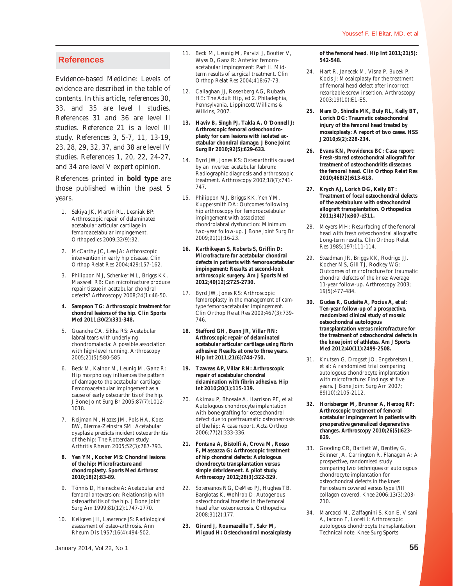#### **References**

*Evidence-based Medicine:* Levels of evidence are described in the table of contents. In this article, references 30, 33, and 35 are level I studies. References 31 and 36 are level II studies. Reference 21 is a level III study. References 3, 5-7, 11, 13-19, 23, 28, 29, 32, 37, and 38 are level IV studies. References 1, 20, 22, 24-27, and 34 are level V expert opinion.

References printed in **bold type** are those published within the past 5 years.

- 1. Sekiya JK, Martin RL, Lesniak BP: Arthroscopic repair of delaminated acetabular articular cartilage in femoroacetabular impingement. *Orthopedics* 2009;32(9):32.
- 2. McCarthy JC, Lee JA: Arthroscopic intervention in early hip disease. *Clin Orthop Relat Res* 2004;429:157-162.
- 3. Philippon MJ, Schenker ML, Briggs KK, Maxwell RB: Can microfracture produce repair tissue in acetabular chondral defects? *Arthroscopy* 2008;24(1):46-50.
- **4. Sampson TG: Arthroscopic treatment for chondral lesions of the hip.** *Clin Sports Med* **2011;30(2):331-348.**
- 5. Guanche CA, Sikka RS: Acetabular labral tears with underlying chondromalacia: A possible association with high-level running. *Arthroscopy* 2005;21(5):580-585.
- 6. Beck M, Kalhor M, Leunig M, Ganz R: Hip morphology influences the pattern of damage to the acetabular cartilage: Femoroacetabular impingement as a cause of early osteoarthritis of the hip. *J Bone Joint Surg Br* 2005;87(7):1012- 1018.
- 7. Reijman M, Hazes JM, Pols HA, Koes BW, Bierma-Zeinstra SM: Acetabular dysplasia predicts incident osteoarthritis of the hip: The Rotterdam study. *Arthritis Rheum* 2005;52(3):787-793.
- **8. Yen YM, Kocher MS: Chondral lesions of the hip: Microfracture and chondroplasty.** *Sports Med Arthrosc* **2010;18(2):83-89.**
- 9. Tönnis D, Heinecke A: Acetabular and femoral anteversion: Relationship with osteoarthritis of the hip. *J Bone Joint Surg Am* 1999;81(12):1747-1770.
- 10. Kellgren JH, Lawrence JS: Radiological assessment of osteo-arthrosis. *Ann Rheum Dis* 1957;16(4):494-502.
- 11. Beck M, Leunig M, Parvizi J, Boutier V, Wyss D, Ganz R: Anterior femoroacetabular impingement: Part II. Midterm results of surgical treatment. *Clin Orthop Relat Res* 2004;418:67-73.
- 12. Callaghan JJ, Rosenberg AG, Rubash HE: *The Adult Hip*, ed 2. Philadephia, Pennsylvania, Lippincott Williams & Wilkins, 2007.
- **13. Haviv B, Singh PJ, Takla A, O'Donnell J: Arthroscopic femoral osteochondroplasty for cam lesions with isolated acetabular chondral damage.** *J Bone Joint Surg Br* **2010;92(5):629-633.**
- 14. Byrd JW, Jones KS: Osteoarthritis caused by an inverted acetabular labrum: Radiographic diagnosis and arthroscopic treatment. *Arthroscopy* 2002;18(7):741- 747.
- 15. Philippon MJ, Briggs KK, Yen YM, Kuppersmith DA: Outcomes following hip arthroscopy for femoroacetabular impingement with associated chondrolabral dysfunction: Minimum two-year follow-up. *J Bone Joint Surg Br* 2009;91(1):16-23.
- **16. Karthikeyan S, Roberts S, Griffin D: Microfracture for acetabular chondral defects in patients with femoroacetabular impingement: Results at second-look arthroscopic surgery.** *Am J Sports Med* **2012;40(12):2725-2730.**
- 17. Byrd JW, Jones KS: Arthroscopic femoroplasty in the management of camtype femoroacetabular impingement. *Clin Orthop Relat Res* 2009;467(3):739- 746.
- **18. Stafford GH, Bunn JR, Villar RN: Arthroscopic repair of delaminated acetabular articular cartilage using fibrin adhesive: Results at one to three years.** *Hip Int* **2011;21(6):744-750.**
- **19. Tzaveas AP, Villar RN: Arthroscopic repair of acetabular chondral delamination with fibrin adhesive.** *Hip Int* **2010;20(1):115-119.**
- 20. Akimau P, Bhosale A, Harrison PE, et al: Autologous chondrocyte implantation with bone grafting for osteochondral defect due to posttraumatic osteonecrosis of the hip: A case report. *Acta Orthop* 2006;77(2):333-336.
- **21. Fontana A, Bistolfi A, Crova M, Rosso F, Massazza G: Arthroscopic treatment of hip chondral defects: Autologous chondrocyte transplantation versus simple debridement. A pilot study.** *Arthroscopy* **2012;28(3):322-329.**
- 22. Sotereanos NG, DeMeo PJ, Hughes TB, Bargiotas K, Wohlrab D: Autogenous osteochondral transfer in the femoral head after osteonecrosis. *Orthopedics* 2008;31(2):177.
- **23. Girard J, Roumazeille T, Sakr M, Migaud H: Osteochondral mosaicplasty**

**of the femoral head.** *Hip Int* **2011;21(5): 542-548.**

- 24. Hart R, Janecek M, Visna P, Bucek P, Kocis J: Mosaicplasty for the treatment of femoral head defect after incorrect resorbable screw insertion. *Arthroscopy* 2003;19(10):E1-E5.
- **25. Nam D, Shindle MK, Buly RL, Kelly BT, Lorich DG: Traumatic osteochondral injury of the femoral head treated by mosaicplasty: A report of two cases.** *HSS J* **2010;6(2):228-234.**
- **26. Evans KN, Providence BC: Case report: Fresh-stored osteochondral allograft for treatment of osteochondritis dissecans the femoral head.** *Clin Orthop Relat Res* **2010;468(2):613-618.**
- **27. Krych AJ, Lorich DG, Kelly BT: Treatment of focal osteochondral defects of the acetabulum with osteochondral allograft transplantation.** *Orthopedics* **2011;34(7):e307-e311.**
- 28. Meyers MH: Resurfacing of the femoral head with fresh osteochondral allografts: Long-term results. *Clin Orthop Relat Res* 1985;197:111-114.
- 29. Steadman JR, Briggs KK, Rodrigo JJ, Kocher MS, Gill TJ, Rodkey WG: Outcomes of microfracture for traumatic chondral defects of the knee: Average 11-year follow-up. *Arthroscopy* 2003; 19(5):477-484.
- **30. Gudas R, Gudaite A, Pocius A, et al: Ten-year follow-up of a prospective, randomized clinical study of mosaic osteochondral autologous transplantation versus microfracture for the treatment of osteochondral defects in the knee joint of athletes.** *Am J Sports Med* **2012;40(11):2499-2508.**
- 31. Knutsen G, Drogset JO, Engebretsen L, et al: A randomized trial comparing autologous chondrocyte implantation with microfracture: Findings at five years. *J Bone Joint Surg Am* 2007; 89(10):2105-2112.
- **32. Horisberger M, Brunner A, Herzog RF: Arthroscopic treatment of femoral acetabular impingement in patients with preoperative generalized degenerative changes.** *Arthroscopy* **2010;26(5):623- 629.**
- 33. Gooding CR, Bartlett W, Bentley G, Skinner JA, Carrington R, Flanagan A: A prospective, randomised study comparing two techniques of autologous chondrocyte implantation for osteochondral defects in the knee: Periosteum covered versus type I/III collagen covered. *Knee* 2006;13(3):203- 210.
- 34. Marcacci M, Zaffagnini S, Kon E, Visani A, Iacono F, Loreti I: Arthroscopic autologous chondrocyte transplantation: Technical note. *Knee Surg Sports*